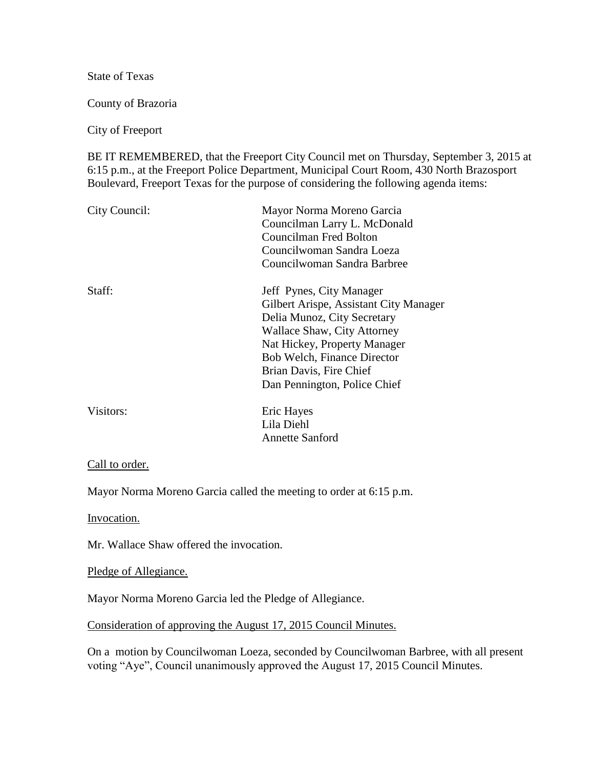State of Texas

County of Brazoria

City of Freeport

BE IT REMEMBERED, that the Freeport City Council met on Thursday, September 3, 2015 at 6:15 p.m., at the Freeport Police Department, Municipal Court Room, 430 North Brazosport Boulevard, Freeport Texas for the purpose of considering the following agenda items:

| City Council: | Mayor Norma Moreno Garcia<br>Councilman Larry L. McDonald<br>Councilman Fred Bolton<br>Councilwoman Sandra Loeza<br>Councilwoman Sandra Barbree                                                                                                            |
|---------------|------------------------------------------------------------------------------------------------------------------------------------------------------------------------------------------------------------------------------------------------------------|
| Staff:        | Jeff Pynes, City Manager<br>Gilbert Arispe, Assistant City Manager<br>Delia Munoz, City Secretary<br>Wallace Shaw, City Attorney<br>Nat Hickey, Property Manager<br>Bob Welch, Finance Director<br>Brian Davis, Fire Chief<br>Dan Pennington, Police Chief |
| Visitors:     | Eric Hayes<br>Lila Diehl<br><b>Annette Sanford</b>                                                                                                                                                                                                         |

## Call to order.

Mayor Norma Moreno Garcia called the meeting to order at 6:15 p.m.

Invocation.

Mr. Wallace Shaw offered the invocation.

Pledge of Allegiance.

Mayor Norma Moreno Garcia led the Pledge of Allegiance.

Consideration of approving the August 17, 2015 Council Minutes.

On a motion by Councilwoman Loeza, seconded by Councilwoman Barbree, with all present voting "Aye", Council unanimously approved the August 17, 2015 Council Minutes.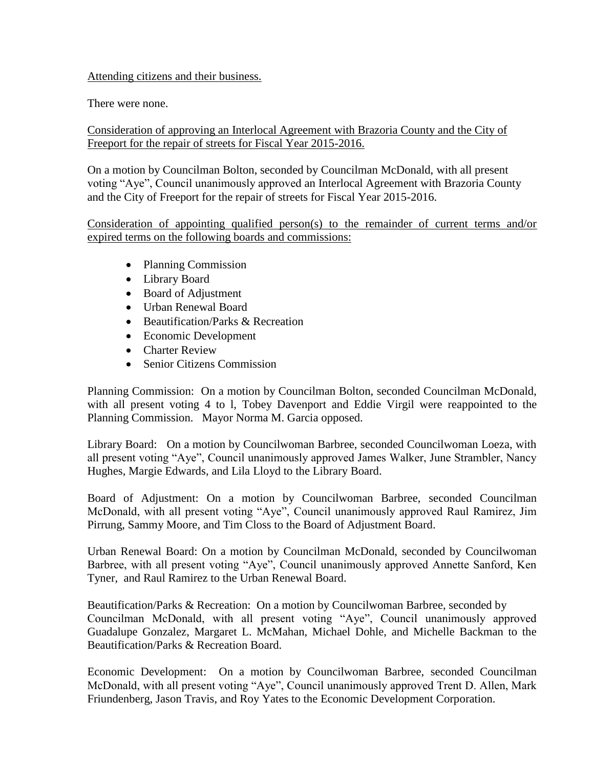## Attending citizens and their business.

There were none.

Consideration of approving an Interlocal Agreement with Brazoria County and the City of Freeport for the repair of streets for Fiscal Year 2015-2016.

On a motion by Councilman Bolton, seconded by Councilman McDonald, with all present voting "Aye", Council unanimously approved an Interlocal Agreement with Brazoria County and the City of Freeport for the repair of streets for Fiscal Year 2015-2016.

Consideration of appointing qualified person(s) to the remainder of current terms and/or expired terms on the following boards and commissions:

- Planning Commission
- Library Board
- Board of Adjustment
- Urban Renewal Board
- Beautification/Parks & Recreation
- Economic Development
- Charter Review
- Senior Citizens Commission

Planning Commission: On a motion by Councilman Bolton, seconded Councilman McDonald, with all present voting 4 to l, Tobey Davenport and Eddie Virgil were reappointed to the Planning Commission. Mayor Norma M. Garcia opposed.

Library Board: On a motion by Councilwoman Barbree, seconded Councilwoman Loeza, with all present voting "Aye", Council unanimously approved James Walker, June Strambler, Nancy Hughes, Margie Edwards, and Lila Lloyd to the Library Board.

Board of Adjustment: On a motion by Councilwoman Barbree, seconded Councilman McDonald, with all present voting "Aye", Council unanimously approved Raul Ramirez, Jim Pirrung, Sammy Moore, and Tim Closs to the Board of Adjustment Board.

Urban Renewal Board: On a motion by Councilman McDonald, seconded by Councilwoman Barbree, with all present voting "Aye", Council unanimously approved Annette Sanford, Ken Tyner, and Raul Ramirez to the Urban Renewal Board.

Beautification/Parks & Recreation: On a motion by Councilwoman Barbree, seconded by Councilman McDonald, with all present voting "Aye", Council unanimously approved Guadalupe Gonzalez, Margaret L. McMahan, Michael Dohle, and Michelle Backman to the Beautification/Parks & Recreation Board.

Economic Development: On a motion by Councilwoman Barbree, seconded Councilman McDonald, with all present voting "Aye", Council unanimously approved Trent D. Allen, Mark Friundenberg, Jason Travis, and Roy Yates to the Economic Development Corporation.